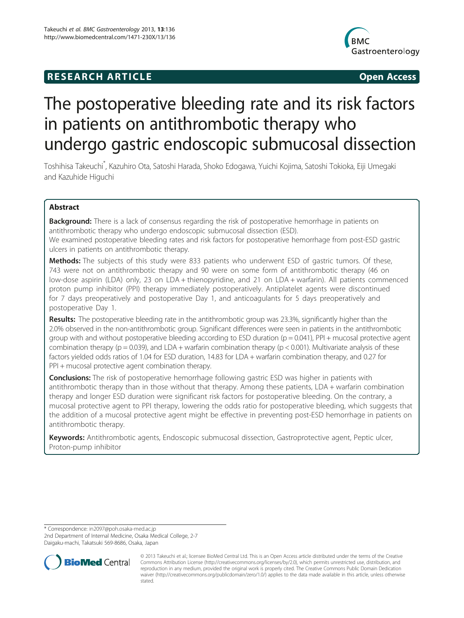## **RESEARCH ARTICLE Example 2014 CONSIDERING CONSIDERING CONSIDERING CONSIDERING CONSIDERING CONSIDERING CONSIDERING CONSIDERING CONSIDERING CONSIDERING CONSIDERING CONSIDERING CONSIDERING CONSIDERING CONSIDERING CONSIDE**



# The postoperative bleeding rate and its risk factors in patients on antithrombotic therapy who undergo gastric endoscopic submucosal dissection

Toshihisa Takeuchi\* , Kazuhiro Ota, Satoshi Harada, Shoko Edogawa, Yuichi Kojima, Satoshi Tokioka, Eiji Umegaki and Kazuhide Higuchi

## Abstract

**Background:** There is a lack of consensus regarding the risk of postoperative hemorrhage in patients on antithrombotic therapy who undergo endoscopic submucosal dissection (ESD).

We examined postoperative bleeding rates and risk factors for postoperative hemorrhage from post-ESD gastric ulcers in patients on antithrombotic therapy.

**Methods:** The subjects of this study were 833 patients who underwent ESD of gastric tumors. Of these, 743 were not on antithrombotic therapy and 90 were on some form of antithrombotic therapy (46 on low-dose aspirin (LDA) only, 23 on LDA + thienopyridine, and 21 on LDA + warfarin). All patients commenced proton pump inhibitor (PPI) therapy immediately postoperatively. Antiplatelet agents were discontinued for 7 days preoperatively and postoperative Day 1, and anticoagulants for 5 days preoperatively and postoperative Day 1.

Results: The postoperative bleeding rate in the antithrombotic group was 23.3%, significantly higher than the 2.0% observed in the non-antithrombotic group. Significant differences were seen in patients in the antithrombotic group with and without postoperative bleeding according to ESD duration ( $p = 0.041$ ), PPI + mucosal protective agent combination therapy ( $p = 0.039$ ), and LDA + warfarin combination therapy ( $p < 0.001$ ). Multivariate analysis of these factors yielded odds ratios of 1.04 for ESD duration, 14.83 for LDA + warfarin combination therapy, and 0.27 for PPI + mucosal protective agent combination therapy.

**Conclusions:** The risk of postoperative hemorrhage following gastric ESD was higher in patients with antithrombotic therapy than in those without that therapy. Among these patients, LDA + warfarin combination therapy and longer ESD duration were significant risk factors for postoperative bleeding. On the contrary, a mucosal protective agent to PPI therapy, lowering the odds ratio for postoperative bleeding, which suggests that the addition of a mucosal protective agent might be effective in preventing post-ESD hemorrhage in patients on antithrombotic therapy.

Keywords: Antithrombotic agents, Endoscopic submucosal dissection, Gastroprotective agent, Peptic ulcer, Proton-pump inhibitor

\* Correspondence: [in2097@poh.osaka-med.ac.jp](mailto:in2097@poh.osaka-med.ac.jp)

2nd Department of Internal Medicine, Osaka Medical College, 2-7 Daigaku-machi, Takatsuki 569-8686, Osaka, Japan



<sup>© 2013</sup> Takeuchi et al.; licensee BioMed Central Ltd. This is an Open Access article distributed under the terms of the Creative Commons Attribution License [\(http://creativecommons.org/licenses/by/2.0\)](http://creativecommons.org/licenses/by/2.0), which permits unrestricted use, distribution, and reproduction in any medium, provided the original work is properly cited. The Creative Commons Public Domain Dedication waiver [\(http://creativecommons.org/publicdomain/zero/1.0/\)](http://creativecommons.org/publicdomain/zero/1.0/) applies to the data made available in this article, unless otherwise stated.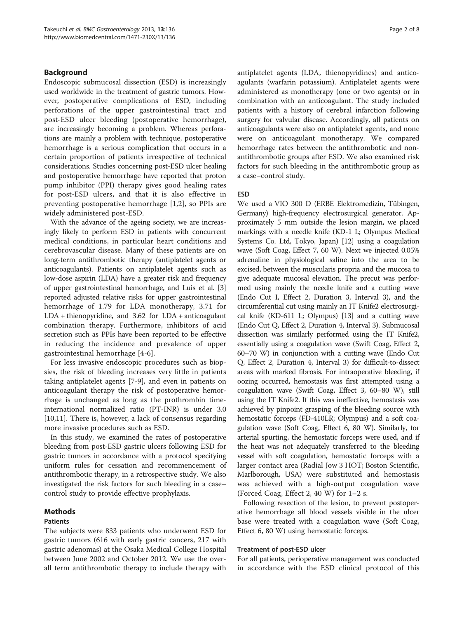#### Background

Endoscopic submucosal dissection (ESD) is increasingly used worldwide in the treatment of gastric tumors. However, postoperative complications of ESD, including perforations of the upper gastrointestinal tract and post-ESD ulcer bleeding (postoperative hemorrhage), are increasingly becoming a problem. Whereas perforations are mainly a problem with technique, postoperative hemorrhage is a serious complication that occurs in a certain proportion of patients irrespective of technical considerations. Studies concerning post-ESD ulcer healing and postoperative hemorrhage have reported that proton pump inhibitor (PPI) therapy gives good healing rates for post-ESD ulcers, and that it is also effective in preventing postoperative hemorrhage [[1,](#page-6-0)[2\]](#page-7-0), so PPIs are widely administered post-ESD.

With the advance of the ageing society, we are increasingly likely to perform ESD in patients with concurrent medical conditions, in particular heart conditions and cerebrovascular disease. Many of these patients are on long-term antithrombotic therapy (antiplatelet agents or anticoagulants). Patients on antiplatelet agents such as low-dose aspirin (LDA) have a greater risk and frequency of upper gastrointestinal hemorrhage, and Luis et al. [[3](#page-7-0)] reported adjusted relative risks for upper gastrointestinal hemorrhage of 1.79 for LDA monotherapy, 3.71 for LDA + thienopyridine, and 3.62 for LDA + anticoagulant combination therapy. Furthermore, inhibitors of acid secretion such as PPIs have been reported to be effective in reducing the incidence and prevalence of upper gastrointestinal hemorrhage [\[4](#page-7-0)-[6\]](#page-7-0).

For less invasive endoscopic procedures such as biopsies, the risk of bleeding increases very little in patients taking antiplatelet agents [[7-9](#page-7-0)], and even in patients on anticoagulant therapy the risk of postoperative hemorrhage is unchanged as long as the prothrombin timeinternational normalized ratio (PT-INR) is under 3.0 [[10,11\]](#page-7-0). There is, however, a lack of consensus regarding more invasive procedures such as ESD.

In this study, we examined the rates of postoperative bleeding from post-ESD gastric ulcers following ESD for gastric tumors in accordance with a protocol specifying uniform rules for cessation and recommencement of antithrombotic therapy, in a retrospective study. We also investigated the risk factors for such bleeding in a case– control study to provide effective prophylaxis.

## Methods

### Patients

The subjects were 833 patients who underwent ESD for gastric tumors (616 with early gastric cancers, 217 with gastric adenomas) at the Osaka Medical College Hospital between June 2002 and October 2012. We use the overall term antithrombotic therapy to include therapy with

antiplatelet agents (LDA, thienopyridines) and anticoagulants (warfarin potassium). Antiplatelet agents were administered as monotherapy (one or two agents) or in combination with an anticoagulant. The study included patients with a history of cerebral infarction following surgery for valvular disease. Accordingly, all patients on anticoagulants were also on antiplatelet agents, and none were on anticoagulant monotherapy. We compared hemorrhage rates between the antithrombotic and nonantithrombotic groups after ESD. We also examined risk factors for such bleeding in the antithrombotic group as a case–control study.

#### ESD

We used a VIO 300 D (ERBE Elektromedizin, Tübingen, Germany) high-frequency electrosurgical generator. Approximately 5 mm outside the lesion margin, we placed markings with a needle knife (KD-1 L; Olympus Medical Systems Co. Ltd, Tokyo, Japan) [[12](#page-7-0)] using a coagulation wave (Soft Coag, Effect 7, 60 W). Next we injected 0.05% adrenaline in physiological saline into the area to be excised, between the muscularis propria and the mucosa to give adequate mucosal elevation. The precut was performed using mainly the needle knife and a cutting wave (Endo Cut I, Effect 2, Duration 3, Interval 3), and the circumferential cut using mainly an IT Knife2 electrosurgical knife (KD-611 L; Olympus) [[13](#page-7-0)] and a cutting wave (Endo Cut Q, Effect 2, Duration 4, Interval 3). Submucosal dissection was similarly performed using the IT Knife2, essentially using a coagulation wave (Swift Coag, Effect 2, 60–70 W) in conjunction with a cutting wave (Endo Cut Q, Effect 2, Duration 4, Interval 3) for difficult-to-dissect areas with marked fibrosis. For intraoperative bleeding, if oozing occurred, hemostasis was first attempted using a coagulation wave (Swift Coag, Effect 3, 60–80 W), still using the IT Knife2. If this was ineffective, hemostasis was achieved by pinpoint grasping of the bleeding source with hemostatic forceps (FD-410LR; Olympus) and a soft coagulation wave (Soft Coag, Effect 6, 80 W). Similarly, for arterial spurting, the hemostatic forceps were used, and if the heat was not adequately transferred to the bleeding vessel with soft coagulation, hemostatic forceps with a larger contact area (Radial Jow 3 HOT; Boston Scientific, Marlborough, USA) were substituted and hemostasis was achieved with a high-output coagulation wave (Forced Coag, Effect 2, 40 W) for 1–2 s.

Following resection of the lesion, to prevent postoperative hemorrhage all blood vessels visible in the ulcer base were treated with a coagulation wave (Soft Coag, Effect 6, 80 W) using hemostatic forceps.

#### Treatment of post-ESD ulcer

For all patients, perioperative management was conducted in accordance with the ESD clinical protocol of this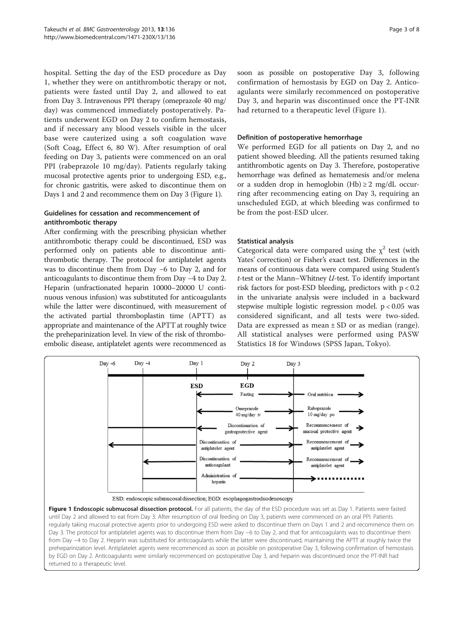hospital. Setting the day of the ESD procedure as Day 1, whether they were on antithrombotic therapy or not, patients were fasted until Day 2, and allowed to eat from Day 3. Intravenous PPI therapy (omeprazole 40 mg/ day) was commenced immediately postoperatively. Patients underwent EGD on Day 2 to confirm hemostasis, and if necessary any blood vessels visible in the ulcer base were cauterized using a soft coagulation wave (Soft Coag, Effect 6, 80 W). After resumption of oral feeding on Day 3, patients were commenced on an oral PPI (rabeprazole 10 mg/day). Patients regularly taking mucosal protective agents prior to undergoing ESD, e.g., for chronic gastritis, were asked to discontinue them on Days 1 and 2 and recommence them on Day 3 (Figure 1).

## Guidelines for cessation and recommencement of antithrombotic therapy

After confirming with the prescribing physician whether antithrombotic therapy could be discontinued, ESD was performed only on patients able to discontinue antithrombotic therapy. The protocol for antiplatelet agents was to discontinue them from Day −6 to Day 2, and for anticoagulants to discontinue them from Day −4 to Day 2. Heparin (unfractionated heparin 10000–20000 U continuous venous infusion) was substituted for anticoagulants while the latter were discontinued, with measurement of the activated partial thromboplastin time (APTT) as appropriate and maintenance of the APTT at roughly twice the preheparinization level. In view of the risk of thromboembolic disease, antiplatelet agents were recommenced as soon as possible on postoperative Day 3, following confirmation of hemostasis by EGD on Day 2. Anticoagulants were similarly recommenced on postoperative Day 3, and heparin was discontinued once the PT-INR had returned to a therapeutic level (Figure 1).

## Definition of postoperative hemorrhage

We performed EGD for all patients on Day 2, and no patient showed bleeding. All the patients resumed taking antithrombotic agents on Day 3. Therefore, postoperative hemorrhage was defined as hematemesis and/or melena or a sudden drop in hemoglobin  $(Hb) \geq 2$  mg/dL occurring after recommencing eating on Day 3, requiring an unscheduled EGD, at which bleeding was confirmed to be from the post-ESD ulcer.

## Statistical analysis

Categorical data were compared using the  $\chi^2$  test (with Yates' correction) or Fisher's exact test. Differences in the means of continuous data were compared using Student's  $t$ -test or the Mann–Whitney  $U$ -test. To identify important risk factors for post-ESD bleeding, predictors with  $p < 0.2$ in the univariate analysis were included in a backward stepwise multiple logistic regression model. p < 0.05 was considered significant, and all tests were two-sided. Data are expressed as mean  $\pm$  SD or as median (range). All statistical analyses were performed using PASW Statistics 18 for Windows (SPSS Japan, Tokyo).



Figure 1 Endoscopic submucosal dissection protocol. For all patients, the day of the ESD procedure was set as Day 1. Patients were fasted until Day 2 and allowed to eat from Day 3. After resumption of oral feeding on Day 3, patients were commenced on an oral PPI. Patients regularly taking mucosal protective agents prior to undergoing ESD were asked to discontinue them on Days 1 and 2 and recommence them on Day 3. The protocol for antiplatelet agents was to discontinue them from Day −6 to Day 2, and that for anticoagulants was to discontinue them from Day −4 to Day 2. Heparin was substituted for anticoagulants while the latter were discontinued, maintaining the APTT at roughly twice the preheparinization level. Antiplatelet agents were recommenced as soon as possible on postoperative Day 3, following confirmation of hemostasis by EGD on Day 2. Anticoagulants were similarly recommenced on postoperative Day 3, and heparin was discontinued once the PT-INR had returned to a therapeutic level.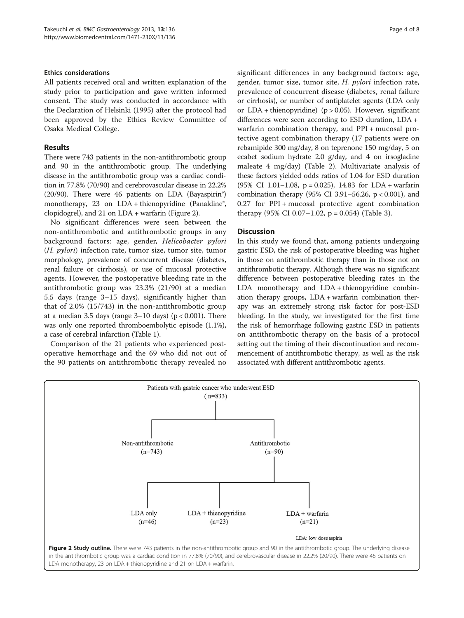#### Ethics considerations

All patients received oral and written explanation of the study prior to participation and gave written informed consent. The study was conducted in accordance with the Declaration of Helsinki (1995) after the protocol had been approved by the Ethics Review Committee of Osaka Medical College.

## Results

There were 743 patients in the non-antithrombotic group and 90 in the antithrombotic group. The underlying disease in the antithrombotic group was a cardiac condition in 77.8% (70/90) and cerebrovascular disease in 22.2% (20/90). There were 46 patients on LDA (Bayaspirin®) monotherapy, 23 on LDA + thienopyridine (Panaldine<sup>®</sup>, clopidogrel), and 21 on LDA + warfarin (Figure 2).

No significant differences were seen between the non-antithrombotic and antithrombotic groups in any background factors: age, gender, Helicobacter pylori (H. pylori) infection rate, tumor size, tumor site, tumor morphology, prevalence of concurrent disease (diabetes, renal failure or cirrhosis), or use of mucosal protective agents. However, the postoperative bleeding rate in the antithrombotic group was 23.3% (21/90) at a median 5.5 days (range 3–15 days), significantly higher than that of 2.0% (15/743) in the non-antithrombotic group at a median 3.5 days (range  $3-10$  days) ( $p < 0.001$ ). There was only one reported thromboembolytic episode (1.1%), a case of cerebral infarction (Table [1](#page-4-0)).

Comparison of the 21 patients who experienced postoperative hemorrhage and the 69 who did not out of the 90 patients on antithrombotic therapy revealed no

significant differences in any background factors: age, gender, tumor size, tumor site, H. pylori infection rate, prevalence of concurrent disease (diabetes, renal failure or cirrhosis), or number of antiplatelet agents (LDA only or  $LDA$  + thienopyridine) (p > 0.05). However, significant differences were seen according to ESD duration, LDA + warfarin combination therapy, and PPI + mucosal protective agent combination therapy (17 patients were on rebamipide 300 mg/day, 8 on teprenone 150 mg/day, 5 on ecabet sodium hydrate 2.0 g/day, and 4 on irsogladine maleate 4 mg/day) (Table [2](#page-4-0)). Multivariate analysis of these factors yielded odds ratios of 1.04 for ESD duration (95% CI 1.01–1.08,  $p = 0.025$ ), 14.83 for LDA + warfarin combination therapy (95% CI 3.91–56.26, p < 0.001), and 0.27 for PPI + mucosal protective agent combination therapy (95% CI 0.07–1.02,  $p = 0.054$ ) (Table [3](#page-5-0)).

## **Discussion**

In this study we found that, among patients undergoing gastric ESD, the risk of postoperative bleeding was higher in those on antithrombotic therapy than in those not on antithrombotic therapy. Although there was no significant difference between postoperative bleeding rates in the LDA monotherapy and LDA + thienopyridine combination therapy groups, LDA + warfarin combination therapy was an extremely strong risk factor for post-ESD bleeding. In the study, we investigated for the first time the risk of hemorrhage following gastric ESD in patients on antithrombotic therapy on the basis of a protocol setting out the timing of their discontinuation and recommencement of antithrombotic therapy, as well as the risk associated with different antithrombotic agents.

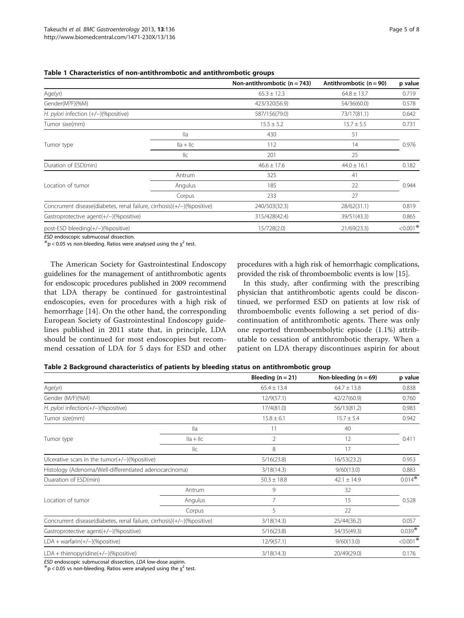#### <span id="page-4-0"></span>Table 1 Characteristics of non-antithrombotic and antithrombotic groups

|                                                                         |               | Non-antithrombotic $(n = 743)$ | Antithrombotic $(n = 90)$ | p value     |
|-------------------------------------------------------------------------|---------------|--------------------------------|---------------------------|-------------|
| Age(yr)                                                                 |               | $65.3 \pm 12.3$                | $64.8 \pm 13.7$           | 0.719       |
| Gender(M?F)(%M)                                                         |               | 423/320(56.9)                  | 54/36(60.0)               | 0.578       |
| H. pylori infection (+/-)(%positive)                                    |               | 587/156(79.0)                  | 73/17(81.1)               | 0.642       |
| Tumor sixe(mm)                                                          |               | $15.5 \pm 5.2$                 | $15.7 \pm 5.5$            | 0.731       |
|                                                                         | lla           | 430                            | 51                        |             |
| Tumor type                                                              | $\ a + \ c\ $ | 112                            | 14                        | 0.976       |
|                                                                         | $\parallel$ c | 201                            | 25                        |             |
| Duration of ESD(min)                                                    |               | $46.6 \pm 17.6$                | $44.0 \pm 16.1$           | 0.182       |
|                                                                         | Antrum        | 325                            | 41                        |             |
| Location of tumor                                                       | Angulus       | 185                            | 22                        | 0.944       |
|                                                                         | Corpus        | 233                            | 27                        |             |
| Concrurrent disease(diabetes, renal failure, cirrhosis)(+/-)(%positive) |               | 240/503(32.3)                  | 28/62(31.1)               | 0.819       |
| Gastroprotective agent(+/-)(%positive)                                  |               | 315/428(42.4)                  | 39/51(43.3)               | 0.865       |
| post-ESD bleeding(+/-)(%positive)                                       |               | 15/728(2.0)                    | 21/69(23.3)               | $< 0.001$ * |

ESD endoscopic submucosal dissection.<br><sup>\*</sup>p < 0.05 vs non-bleeding. Ratios were analysed using the  $\chi^2$  test.

The American Society for Gastrointestinal Endoscopy guidelines for the management of antithrombotic agents for endoscopic procedures published in 2009 recommend that LDA therapy be continued for gastrointestinal endoscopies, even for procedures with a high risk of hemorrhage [[14](#page-7-0)]. On the other hand, the corresponding European Society of Gastrointestinal Endoscopy guidelines published in 2011 state that, in principle, LDA should be continued for most endoscopies but recommend cessation of LDA for 5 days for ESD and other

procedures with a high risk of hemorrhagic complications, provided the risk of thromboembolic events is low [\[15\]](#page-7-0).

In this study, after confirming with the prescribing physician that antithrombotic agents could be discontinued, we performed ESD on patients at low risk of thromboembolic events following a set period of discontinuation of antithrombotic agents. There was only one reported thromboembolytic episode (1.1%) attributable to cessation of antithrombotic therapy. When a patient on LDA therapy discontinues aspirin for about

|                                                                         |                 | Bleeding $(n = 21)$ | Non-bleeding $(n = 69)$ | p value      |
|-------------------------------------------------------------------------|-----------------|---------------------|-------------------------|--------------|
| Age(yr)                                                                 |                 | $65.4 \pm 13.4$     | $64.7 \pm 13.8$         | 0.838        |
| Gender (M/F)(%M)                                                        |                 | 12/9(57.1)          | 42/27(60.9)             | 0.760        |
| H. pylori infection(+/-)(%positive)                                     |                 | 17/4(81.0)          | 56/13(81.2)             | 0.983        |
| Tumor size(mm)                                                          |                 | $15.8 \pm 6.1$      | $15.7 \pm 5.4$          | 0.942        |
|                                                                         | $\mathsf{II}$ a | 11                  | 40                      |              |
| Tumor type                                                              | $\ a + \ c\ $   | $\overline{2}$      | 12                      | 0.411        |
|                                                                         | $\parallel$ c   | 8                   | 17                      |              |
| Ulcerative scars in the tumor(+/-)(%positive)                           |                 | 5/16(23.8)          | 16/53(23.2)             | 0.953        |
| Histology (Adenoma/Well-differentiated adenocarcinoma)<br>3/18(14.3)    |                 | 9/60(13.0)          | 0.883                   |              |
| Duaration of ESD(min)                                                   |                 | $50.3 \pm 18.8$     | $42.1 \pm 14.9$         | $0.014*$     |
|                                                                         | Antrum          | 9                   | 32                      |              |
| Location of tumor                                                       | Angulus         | 7                   | 15                      | 0.528        |
|                                                                         | Corpus          | 5                   | 22                      |              |
| Concrurrent disease(diabetes, renal failure, cirrhosis)(+/-)(%positive) |                 | 3/18(14.3)          | 25/44(36.2)             | 0.057        |
| Gastroprotective agent(+/-)(%positive)                                  |                 | 5/16(23.8)          | 34/35(49.3)             | $0.039*$     |
| $LDA + warfarin(+/-)(%positive)$                                        |                 | 12/9(57.1)          | 9/60(13.0)              | $< 0.001$ ** |
| $LDA +$ thienopyridine $(+/-)$ (%positive)                              |                 | 3/18(14.3)          | 20/49(29.0)             | 0.176        |

ESD endoscopic submucosal dissection, LDA low-dose aspirin. <br><sup>※</sup>p < 0.05 vs non-bleeding. Ratios were analysed using the  $\chi^2$  test.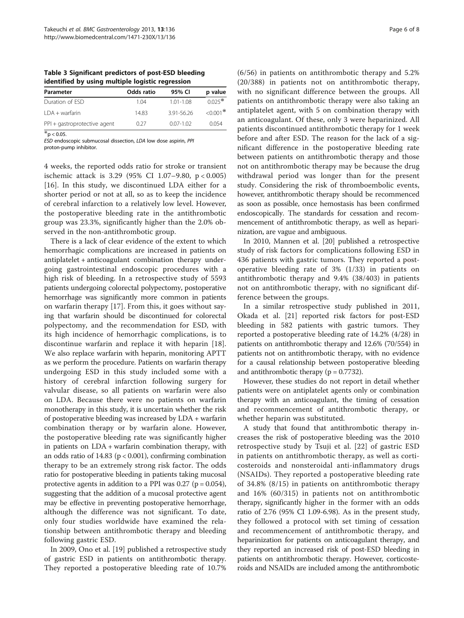<span id="page-5-0"></span>Table 3 Significant predictors of post-ESD bleeding identified by using multiple logistic regression

| Parameter                    | Odds ratio | 95% CI        | p value              |
|------------------------------|------------|---------------|----------------------|
| Duration of ESD              | 1 04       | $1.01 - 1.08$ | $0.025$ <sup>*</sup> |
| $LDA + warfarin$             | 14.83      | 3.91-56.26    | $< 0.001$ *          |
| PPI + gastroprotective agent | 0.27       | $0.07 - 1.02$ | 0.054                |
| $*$ p < 0.05.                |            |               |                      |

ESD endoscopic submucosal dissection, LDA low dose aspirin, PPI

proton-pump inhibitor.

4 weeks, the reported odds ratio for stroke or transient ischemic attack is 3.29 (95% CI 1.07–9.80, p < 0.005) [[16](#page-7-0)]. In this study, we discontinued LDA either for a shorter period or not at all, so as to keep the incidence of cerebral infarction to a relatively low level. However, the postoperative bleeding rate in the antithrombotic group was 23.3%, significantly higher than the 2.0% observed in the non-antithrombotic group.

There is a lack of clear evidence of the extent to which hemorrhagic complications are increased in patients on antiplatelet + anticoagulant combination therapy undergoing gastrointestinal endoscopic procedures with a high risk of bleeding. In a retrospective study of 5593 patients undergoing colorectal polypectomy, postoperative hemorrhage was significantly more common in patients on warfarin therapy [\[17](#page-7-0)]. From this, it goes without saying that warfarin should be discontinued for colorectal polypectomy, and the recommendation for ESD, with its high incidence of hemorrhagic complications, is to discontinue warfarin and replace it with heparin [[18](#page-7-0)]. We also replace warfarin with heparin, monitoring APTT as we perform the procedure. Patients on warfarin therapy undergoing ESD in this study included some with a history of cerebral infarction following surgery for valvular disease, so all patients on warfarin were also on LDA. Because there were no patients on warfarin monotherapy in this study, it is uncertain whether the risk of postoperative bleeding was increased by LDA + warfarin combination therapy or by warfarin alone. However, the postoperative bleeding rate was significantly higher in patients on LDA + warfarin combination therapy, with an odds ratio of 14.83 ( $p < 0.001$ ), confirming combination therapy to be an extremely strong risk factor. The odds ratio for postoperative bleeding in patients taking mucosal protective agents in addition to a PPI was  $0.27$  ( $p = 0.054$ ), suggesting that the addition of a mucosal protective agent may be effective in preventing postoperative hemorrhage, although the difference was not significant. To date, only four studies worldwide have examined the relationship between antithrombotic therapy and bleeding following gastric ESD.

In 2009, Ono et al. [[19](#page-7-0)] published a retrospective study of gastric ESD in patients on antithrombotic therapy. They reported a postoperative bleeding rate of 10.7%

(6/56) in patients on antithrombotic therapy and 5.2% (20/388) in patients not on antithrombotic therapy, with no significant difference between the groups. All patients on antithrombotic therapy were also taking an antiplatelet agent, with 5 on combination therapy with an anticoagulant. Of these, only 3 were heparinized. All patients discontinued antithrombotic therapy for 1 week before and after ESD. The reason for the lack of a significant difference in the postoperative bleeding rate between patients on antithrombotic therapy and those not on antithrombotic therapy may be because the drug withdrawal period was longer than for the present study. Considering the risk of thromboembolic events, however, antithrombotic therapy should be recommenced as soon as possible, once hemostasis has been confirmed endoscopically. The standards for cessation and recommencement of antithrombotic therapy, as well as heparinization, are vague and ambiguous.

In 2010, Mannen et al. [\[20\]](#page-7-0) published a retrospective study of risk factors for complications following ESD in 436 patients with gastric tumors. They reported a postoperative bleeding rate of 3% (1/33) in patients on antithrombotic therapy and 9.4% (38/403) in patients not on antithrombotic therapy, with no significant difference between the groups.

In a similar retrospective study published in 2011, Okada et al. [[21\]](#page-7-0) reported risk factors for post-ESD bleeding in 582 patients with gastric tumors. They reported a postoperative bleeding rate of 14.2% (4/28) in patients on antithrombotic therapy and 12.6% (70/554) in patients not on antithrombotic therapy, with no evidence for a causal relationship between postoperative bleeding and antithrombotic therapy  $(p = 0.7732)$ .

However, these studies do not report in detail whether patients were on antiplatelet agents only or combination therapy with an anticoagulant, the timing of cessation and recommencement of antithrombotic therapy, or whether heparin was substituted.

A study that found that antithrombotic therapy increases the risk of postoperative bleeding was the 2010 retrospective study by Tsuji et al. [\[22\]](#page-7-0) of gastric ESD in patients on antithrombotic therapy, as well as corticosteroids and nonsteroidal anti-inflammatory drugs (NSAIDs). They reported a postoperative bleeding rate of 34.8% (8/15) in patients on antithrombotic therapy and 16% (60/315) in patients not on antithrombotic therapy, significantly higher in the former with an odds ratio of 2.76 (95% CI 1.09-6.98). As in the present study, they followed a protocol with set timing of cessation and recommencement of antithrombotic therapy, and heparinization for patients on anticoagulant therapy, and they reported an increased risk of post-ESD bleeding in patients on antithrombotic therapy. However, corticosteroids and NSAIDs are included among the antithrombotic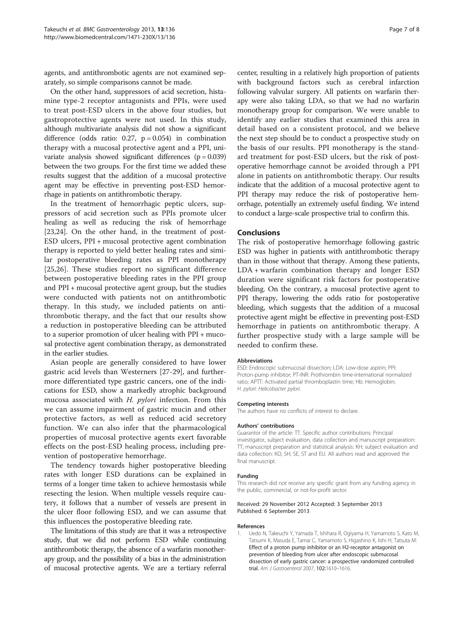<span id="page-6-0"></span>agents, and antithrombotic agents are not examined separately, so simple comparisons cannot be made.

On the other hand, suppressors of acid secretion, histamine type-2 receptor antagonists and PPIs, were used to treat post-ESD ulcers in the above four studies, but gastroprotective agents were not used. In this study, although multivariate analysis did not show a significant difference (odds ratio:  $0.27$ ,  $p = 0.054$ ) in combination therapy with a mucosal protective agent and a PPI, univariate analysis showed significant differences  $(p = 0.039)$ between the two groups. For the first time we added these results suggest that the addition of a mucosal protective agent may be effective in preventing post-ESD hemorrhage in patients on antithrombotic therapy.

In the treatment of hemorrhagic peptic ulcers, suppressors of acid secretion such as PPIs promote ulcer healing as well as reducing the risk of hemorrhage [[23,24\]](#page-7-0). On the other hand, in the treatment of post-ESD ulcers, PPI + mucosal protective agent combination therapy is reported to yield better healing rates and similar postoperative bleeding rates as PPI monotherapy [[25,26](#page-7-0)]. These studies report no significant difference between postoperative bleeding rates in the PPI group and PPI + mucosal protective agent group, but the studies were conducted with patients not on antithrombotic therapy. In this study, we included patients on antithrombotic therapy, and the fact that our results show a reduction in postoperative bleeding can be attributed to a superior promotion of ulcer healing with PPI + mucosal protective agent combination therapy, as demonstrated in the earlier studies.

Asian people are generally considered to have lower gastric acid levels than Westerners [\[27-29](#page-7-0)], and furthermore differentiated type gastric cancers, one of the indications for ESD, show a markedly atrophic background mucosa associated with H. pylori infection. From this we can assume impairment of gastric mucin and other protective factors, as well as reduced acid secretory function. We can also infer that the pharmacological properties of mucosal protective agents exert favorable effects on the post-ESD healing process, including prevention of postoperative hemorrhage.

The tendency towards higher postoperative bleeding rates with longer ESD durations can be explained in terms of a longer time taken to achieve hemostasis while resecting the lesion. When multiple vessels require cautery, it follows that a number of vessels are present in the ulcer floor following ESD, and we can assume that this influences the postoperative bleeding rate.

The limitations of this study are that it was a retrospective study, that we did not perform ESD while continuing antithrombotic therapy, the absence of a warfarin monotherapy group, and the possibility of a bias in the administration of mucosal protective agents. We are a tertiary referral

center, resulting in a relatively high proportion of patients with background factors such as cerebral infarction following valvular surgery. All patients on warfarin therapy were also taking LDA, so that we had no warfarin monotherapy group for comparison. We were unable to identify any earlier studies that examined this area in detail based on a consistent protocol, and we believe the next step should be to conduct a prospective study on the basis of our results. PPI monotherapy is the standard treatment for post-ESD ulcers, but the risk of postoperative hemorrhage cannot be avoided through a PPI alone in patients on antithrombotic therapy. Our results indicate that the addition of a mucosal protective agent to PPI therapy may reduce the risk of postoperative hemorrhage, potentially an extremely useful finding. We intend to conduct a large-scale prospective trial to confirm this.

#### **Conclusions**

The risk of postoperative hemorrhage following gastric ESD was higher in patients with antithrombotic therapy than in those without that therapy. Among these patients, LDA + warfarin combination therapy and longer ESD duration were significant risk factors for postoperative bleeding. On the contrary, a mucosal protective agent to PPI therapy, lowering the odds ratio for postoperative bleeding, which suggests that the addition of a mucosal protective agent might be effective in preventing post-ESD hemorrhage in patients on antithrombotic therapy. A further prospective study with a large sample will be needed to confirm these.

#### Abbreviations

ESD: Endoscopic submucosal dissection; LDA: Low-dose aspirin; PPI: Proton-pump inhibitor; PT-INR: Prothrombin time-international normalized ratio; APTT: Activated partial thromboplastin time; Hb: Hemoglobin; H. pylori: Helicobacter pylori.

#### Competing interests

The authors have no conflicts of interest to declare.

#### Authors' contributions

Guarantor of the article: TT. Specific author contributions: Principal investigator, subject evaluation, data collection and manuscript preparation: TT; manuscript preparation and statistical analysis: KH; subject evaluation and data collection: KO, SH, SE, ST and EU. All authors read and approved the final manuscript.

#### Funding

This research did not receive any specific grant from any funding agency in the public, commercial, or not-for-profit sector.

#### Received: 29 November 2012 Accepted: 3 September 2013 Published: 6 September 2013

#### References

1. Uedo N, Takeuchi Y, Yamada T, Ishihara R, Ogiyama H, Yamamoto S, Kato M, Tatsumi K, Masuda E, Tamai C, Yamamoto S, Higashino K, Iishi H, Tatsuta M: Effect of a proton pump inhibitor or an H2-receptor antagonist on prevention of bleeding from ulcer after endoscopic submucosal dissection of early gastric cancer: a prospective randomized controlled trial. Am J Gastroenterol 2007, 102:1610–1616.